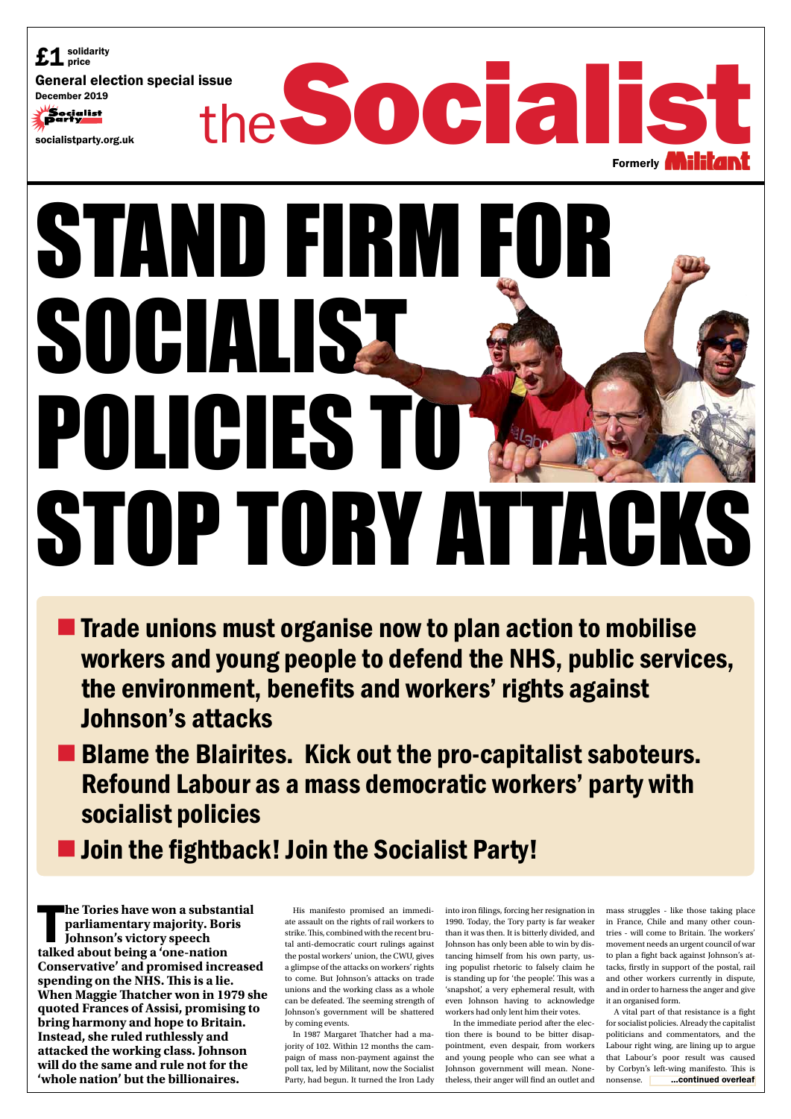His manifesto promised an immediate assault on the rights of rail workers to strike. This, combined with the recent brutal anti-democratic court rulings against the postal workers' union, the CWU, gives a glimpse of the attacks on workers' rights to come. But Johnson's attacks on trade unions and the working class as a whole can be defeated. The seeming strength of Johnson's government will be shattered by coming events.

In 1987 Margaret Thatcher had a majority of 102. Within 12 months the campaign of mass non-payment against the poll tax, led by Militant, now the Socialist Party, had begun. It turned the Iron Lady

into iron filings, forcing her resignation in 1990. Today, the Tory party is far weaker than it was then. It is bitterly divided, and Johnson has only been able to win by distancing himself from his own party, using populist rhetoric to falsely claim he is standing up for 'the people'. This was a 'snapshot', a very ephemeral result, with even Johnson having to acknowledge workers had only lent him their votes.



- **The Trade unions must organise now to plan action to mobilise** workers and young people to defend the NHS, public services, the environment, benefits and workers' rights against Johnson's attacks
- **E** Blame the Blairites. Kick out the pro-capitalist saboteurs. Refound Labour as a mass democratic workers' party with socialist policies
- 

# **Join the fightback! Join the Socialist Party!**

In the immediate period after the election there is bound to be bitter disappointment, even despair, from workers and young people who can see what a Johnson government will mean. Nonetheless, their anger will find an outlet and

**Example Tories have won a substantify parliamentary majority. Bor**<br>**discussed being a 'one-nation' talked about being a 'one-nation' he Tories have won a substantial parliamentary majority. Boris Johnson's victory speech Conservative' and promised increased spending on the NHS. This is a lie. When Maggie Thatcher won in 1979 she quoted Frances of Assisi, promising to bring harmony and hope to Britain. Instead, she ruled ruthlessly and attacked the working class. Johnson will do the same and rule not for the 'whole nation' but the billionaires.**

mass struggles - like those taking place in France, Chile and many other countries - will come to Britain. The workers' movement needs an urgent council of war to plan a fight back against Johnson's attacks, firstly in support of the postal, rail and other workers currently in dispute, and in order to harness the anger and give it an organised form.

A vital part of that resistance is a fight for socialist policies. Already the capitalist politicians and commentators, and the Labour right wing, are lining up to argue that Labour's poor result was caused by Corbyn's left-wing manifesto. This is nonsense. ...continued overleaf